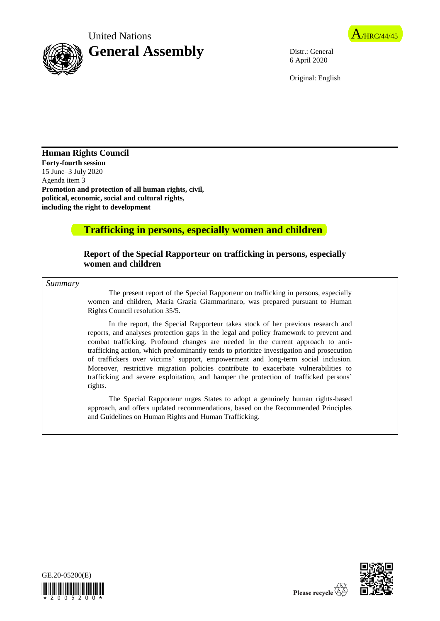United Nations A/HRC/44/45



6 April 2020

Original: English

**Human Rights Council Forty-fourth session** 15 June–3 July 2020 Agenda item 3 **Promotion and protection of all human rights, civil, political, economic, social and cultural rights, including the right to development**

# **Trafficking in persons, especially women and children**

### **Report of the Special Rapporteur on trafficking in persons, especially women and children**

*Summary*

The present report of the Special Rapporteur on trafficking in persons, especially women and children, Maria Grazia Giammarinaro, was prepared pursuant to Human Rights Council resolution 35/5.

In the report, the Special Rapporteur takes stock of her previous research and reports, and analyses protection gaps in the legal and policy framework to prevent and combat trafficking. Profound changes are needed in the current approach to antitrafficking action, which predominantly tends to prioritize investigation and prosecution of traffickers over victims' support, empowerment and long-term social inclusion. Moreover, restrictive migration policies contribute to exacerbate vulnerabilities to trafficking and severe exploitation, and hamper the protection of trafficked persons' rights.

The Special Rapporteur urges States to adopt a genuinely human rights-based approach, and offers updated recommendations, based on the Recommended Principles and Guidelines on Human Rights and Human Trafficking.



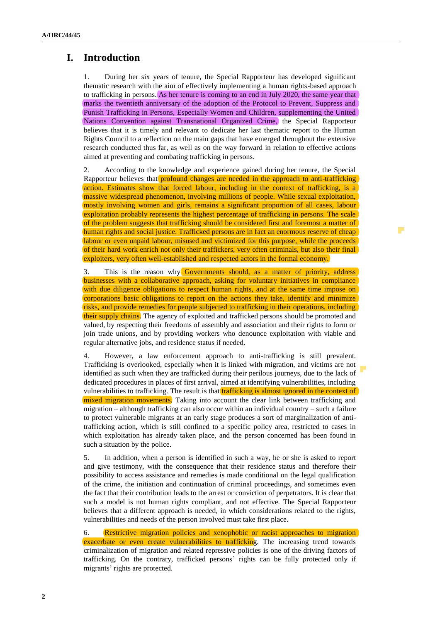# **I. Introduction**

1. During her six years of tenure, the Special Rapporteur has developed significant thematic research with the aim of effectively implementing a human rights-based approach to trafficking in persons. As her tenure is coming to an end in July 2020, the same year that marks the twentieth anniversary of the adoption of the Protocol to Prevent, Suppress and Punish Trafficking in Persons, Especially Women and Children, supplementing the United Nations Convention against Transnational Organized Crime, the Special Rapporteur believes that it is timely and relevant to dedicate her last thematic report to the Human Rights Council to a reflection on the main gaps that have emerged throughout the extensive research conducted thus far, as well as on the way forward in relation to effective actions aimed at preventing and combating trafficking in persons.

2. According to the knowledge and experience gained during her tenure, the Special Rapporteur believes that profound changes are needed in the approach to anti-trafficking action. Estimates show that forced labour, including in the context of trafficking, is a massive widespread phenomenon, involving millions of people. While sexual exploitation, mostly involving women and girls, remains a significant proportion of all cases, labour exploitation probably represents the highest percentage of trafficking in persons. The scale of the problem suggests that trafficking should be considered first and foremost a matter of human rights and social justice. Trafficked persons are in fact an enormous reserve of cheap labour or even unpaid labour, misused and victimized for this purpose, while the proceeds of their hard work enrich not only their traffickers, very often criminals, but also their final exploiters, very often well-established and respected actors in the formal economy.

 $\mathcal{O}$ 

3. This is the reason why Governments should, as a matter of priority, address businesses with a collaborative approach, asking for voluntary initiatives in compliance with due diligence obligations to respect human rights, and at the same time impose on corporations basic obligations to report on the actions they take, identify and minimize risks, and provide remedies for people subjected to trafficking in their operations, including their supply chains. The agency of exploited and trafficked persons should be promoted and valued, by respecting their freedoms of assembly and association and their rights to form or join trade unions, and by providing workers who denounce exploitation with viable and regular alternative jobs, and residence status if needed.

4. However, a law enforcement approach to anti-trafficking is still prevalent. Trafficking is overlooked, especially when it is linked with migration, and victims are not identified as such when they are trafficked during their perilous journeys, due to the lack of dedicated procedures in places of first arrival, aimed at identifying vulnerabilities, including vulnerabilities to trafficking. The result is that trafficking is almost ignored in the context of mixed migration movements. Taking into account the clear link between trafficking and migration – although trafficking can also occur within an individual country – such a failure to protect vulnerable migrants at an early stage produces a sort of marginalization of antitrafficking action, which is still confined to a specific policy area, restricted to cases in which exploitation has already taken place, and the person concerned has been found in such a situation by the police.

5. In addition, when a person is identified in such a way, he or she is asked to report and give testimony, with the consequence that their residence status and therefore their possibility to access assistance and remedies is made conditional on the legal qualification of the crime, the initiation and continuation of criminal proceedings, and sometimes even the fact that their contribution leads to the arrest or conviction of perpetrators. It is clear that such a model is not human rights compliant, and not effective. The Special Rapporteur believes that a different approach is needed, in which considerations related to the rights, vulnerabilities and needs of the person involved must take first place.

6. Restrictive migration policies and xenophobic or racist approaches to migration exacerbate or even create vulnerabilities to trafficking. The increasing trend towards criminalization of migration and related repressive policies is one of the driving factors of trafficking. On the contrary, trafficked persons' rights can be fully protected only if migrants' rights are protected.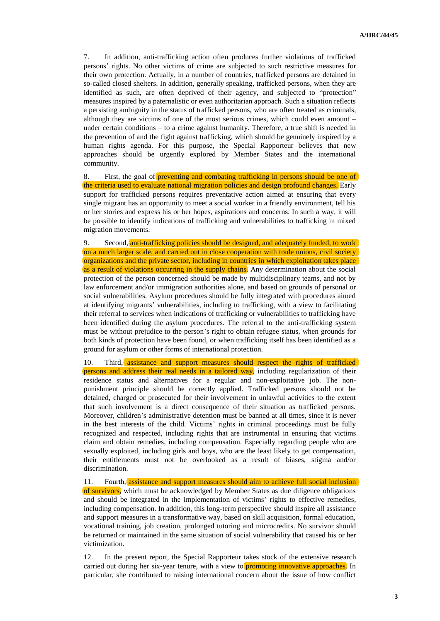7. In addition, anti-trafficking action often produces further violations of trafficked persons' rights. No other victims of crime are subjected to such restrictive measures for their own protection. Actually, in a number of countries, trafficked persons are detained in so-called closed shelters. In addition, generally speaking, trafficked persons, when they are identified as such, are often deprived of their agency, and subjected to "protection" measures inspired by a paternalistic or even authoritarian approach. Such a situation reflects a persisting ambiguity in the status of trafficked persons, who are often treated as criminals, although they are victims of one of the most serious crimes, which could even amount – under certain conditions – to a crime against humanity. Therefore, a true shift is needed in the prevention of and the fight against trafficking, which should be genuinely inspired by a human rights agenda. For this purpose, the Special Rapporteur believes that new approaches should be urgently explored by Member States and the international community.

8. First, the goal of preventing and combating trafficking in persons should be one of the criteria used to evaluate national migration policies and design profound changes. Early support for trafficked persons requires preventative action aimed at ensuring that every single migrant has an opportunity to meet a social worker in a friendly environment, tell his or her stories and express his or her hopes, aspirations and concerns. In such a way, it will be possible to identify indications of trafficking and vulnerabilities to trafficking in mixed migration movements.

9. Second, anti-trafficking policies should be designed, and adequately funded, to work on a much larger scale, and carried out in close cooperation with trade unions, civil society organizations and the private sector, including in countries in which exploitation takes place as a result of violations occurring in the supply chains. Any determination about the social protection of the person concerned should be made by multidisciplinary teams, and not by law enforcement and/or immigration authorities alone, and based on grounds of personal or social vulnerabilities. Asylum procedures should be fully integrated with procedures aimed at identifying migrants' vulnerabilities, including to trafficking, with a view to facilitating their referral to services when indications of trafficking or vulnerabilities to trafficking have been identified during the asylum procedures. The referral to the anti-trafficking system must be without prejudice to the person's right to obtain refugee status, when grounds for both kinds of protection have been found, or when trafficking itself has been identified as a ground for asylum or other forms of international protection.

10. Third, assistance and support measures should respect the rights of trafficked persons and address their real needs in a tailored way, including regularization of their residence status and alternatives for a regular and non-exploitative job. The nonpunishment principle should be correctly applied. Trafficked persons should not be detained, charged or prosecuted for their involvement in unlawful activities to the extent that such involvement is a direct consequence of their situation as trafficked persons. Moreover, children's administrative detention must be banned at all times, since it is never in the best interests of the child. Victims' rights in criminal proceedings must be fully recognized and respected, including rights that are instrumental in ensuring that victims claim and obtain remedies, including compensation. Especially regarding people who are sexually exploited, including girls and boys, who are the least likely to get compensation, their entitlements must not be overlooked as a result of biases, stigma and/or discrimination.

11. Fourth, assistance and support measures should aim to achieve full social inclusion of survivors, which must be acknowledged by Member States as due diligence obligations and should be integrated in the implementation of victims' rights to effective remedies, including compensation. In addition, this long-term perspective should inspire all assistance and support measures in a transformative way, based on skill acquisition, formal education, vocational training, job creation, prolonged tutoring and microcredits. No survivor should be returned or maintained in the same situation of social vulnerability that caused his or her victimization.

12. In the present report, the Special Rapporteur takes stock of the extensive research carried out during her six-year tenure, with a view to promoting innovative approaches. In particular, she contributed to raising international concern about the issue of how conflict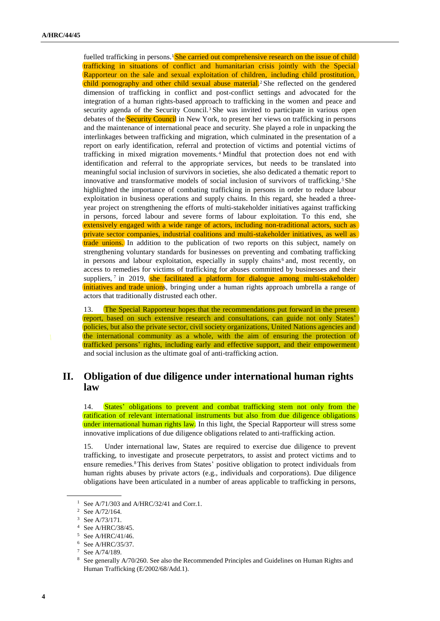fuelled trafficking in persons. <sup>1</sup> She carried out comprehensive research on the issue of child trafficking in situations of conflict and humanitarian crisis jointly with the Special Rapporteur on the sale and sexual exploitation of children, including child prostitution, child pornography and other child sexual abuse material. <sup>2</sup> She reflected on the gendered dimension of trafficking in conflict and post-conflict settings and advocated for the integration of a human rights-based approach to trafficking in the women and peace and security agenda of the Security Council.<sup>3</sup> She was invited to participate in various open debates of the Security Council in New York, to present her views on trafficking in persons and the maintenance of international peace and security. She played a role in unpacking the interlinkages between trafficking and migration, which culminated in the presentation of a report on early identification, referral and protection of victims and potential victims of trafficking in mixed migration movements. <sup>4</sup> Mindful that protection does not end with identification and referral to the appropriate services, but needs to be translated into meaningful social inclusion of survivors in societies, she also dedicated a thematic report to innovative and transformative models of social inclusion of survivors of trafficking.<sup>5</sup> She highlighted the importance of combating trafficking in persons in order to reduce labour exploitation in business operations and supply chains. In this regard, she headed a threeyear project on strengthening the efforts of multi-stakeholder initiatives against trafficking in persons, forced labour and severe forms of labour exploitation. To this end, she extensively engaged with a wide range of actors, including non-traditional actors, such as private sector companies, industrial coalitions and multi-stakeholder initiatives, as well as trade unions. In addition to the publication of two reports on this subject, namely on strengthening voluntary standards for businesses on preventing and combating trafficking in persons and labour exploitation, especially in supply chains<sup>6</sup> and, most recently, on access to remedies for victims of trafficking for abuses committed by businesses and their suppliers,  $\frac{7}{1}$  in 2019, she facilitated a platform for dialogue among multi-stakeholder initiatives and trade unions, bringing under a human rights approach umbrella a range of actors that traditionally distrusted each other.

13. The Special Rapporteur hopes that the recommendations put forward in the present report, based on such extensive research and consultations, can guide not only States' policies, but also the private sector, civil society organizations, United Nations agencies and the international community as a whole, with the aim of ensuring the protection of trafficked persons' rights, including early and effective support, and their empowerment and social inclusion as the ultimate goal of anti-trafficking action.

# **II. Obligation of due diligence under international human rights law**

14. States' obligations to prevent and combat trafficking stem not only from the ratification of relevant international instruments but also from due diligence obligations under international human rights law. In this light, the Special Rapporteur will stress some innovative implications of due diligence obligations related to anti-trafficking action.

15. Under international law, States are required to exercise due diligence to prevent trafficking, to investigate and prosecute perpetrators, to assist and protect victims and to ensure remedies.8This derives from States' positive obligation to protect individuals from human rights abuses by private actors (e.g., individuals and corporations). Due diligence obligations have been articulated in a number of areas applicable to trafficking in persons,

<sup>&</sup>lt;sup>1</sup> See A/71/303 and A/HRC/32/41 and Corr.1.

<sup>2</sup> Se[e A/72/164.](https://ap.ohchr.org/documents/dpage_e.aspx?si=A/72/164)

<sup>3</sup> Se[e A/73/171.](https://ap.ohchr.org/documents/dpage_e.aspx?si=A/73/171)

<sup>4</sup> Se[e A/HRC/38/45.](https://ap.ohchr.org/documents/dpage_e.aspx?si=A/HRC/38/45)

<sup>5</sup> See A/HRC/41/46.

<sup>6</sup> Se[e A/HRC/35/37.](https://ap.ohchr.org/documents/dpage_e.aspx?si=A/HRC/35/37)

<sup>7</sup> Se[e A/74/189.](https://undocs.org/A/74/189)

<sup>8</sup> See generally A/70/260. See also the Recommended Principles and Guidelines on Human Rights and Human Trafficking (E/2002/68/Add.1).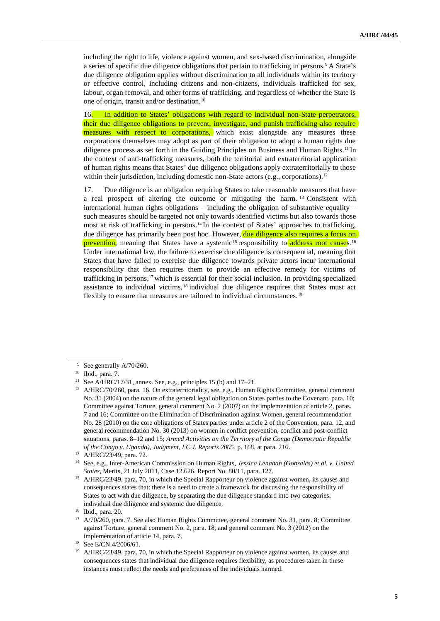including the right to life, violence against women, and sex-based discrimination, alongside a series of specific due diligence obligations that pertain to trafficking in persons.<sup>9</sup> A State's due diligence obligation applies without discrimination to all individuals within its territory or effective control, including citizens and non-citizens, individuals trafficked for sex, labour, organ removal, and other forms of trafficking, and regardless of whether the State is one of origin, transit and/or destination.<sup>10</sup>

16. In addition to States' obligations with regard to individual non-State perpetrators, their due diligence obligations to prevent, investigate, and punish trafficking also require measures with respect to corporations, which exist alongside any measures these corporations themselves may adopt as part of their obligation to adopt a human rights due diligence process as set forth in the Guiding Principles on Business and Human Rights.<sup>11</sup> In the context of anti-trafficking measures, both the territorial and extraterritorial application of human rights means that States' due diligence obligations apply extraterritorially to those within their jurisdiction, including domestic non-State actors (e.g., corporations).<sup>12</sup>

17. Due diligence is an obligation requiring States to take reasonable measures that have a real prospect of altering the outcome or mitigating the harm. <sup>13</sup> Consistent with international human rights obligations – including the obligation of substantive equality – such measures should be targeted not only towards identified victims but also towards those most at risk of trafficking in persons.<sup>14</sup> In the context of States' approaches to trafficking, due diligence has primarily been post hoc*.* However, due diligence also requires a focus on prevention, meaning that States have a systemic<sup>15</sup> responsibility to address root causes.<sup>16</sup> Under international law, the failure to exercise due diligence is consequential, meaning that States that have failed to exercise due diligence towards private actors incur international responsibility that then requires them to provide an effective remedy for victims of trafficking in persons, <sup>17</sup> which is essential for their social inclusion. In providing specialized assistance to individual victims, <sup>18</sup> individual due diligence requires that States must act flexibly to ensure that measures are tailored to individual circumstances.<sup>19</sup>

<sup>&</sup>lt;sup>9</sup> See generally A/70/260.

<sup>10</sup> Ibid., para. 7.

<sup>11</sup> See A/HRC/17/31, annex. See, e.g., principles 15 (b) and 17–21.

<sup>&</sup>lt;sup>12</sup> A/HRC/70/260, para. 16. On extraterritoriality, see, e.g., Human Rights Committee, general comment No. 31 (2004) on the nature of the general legal obligation on States parties to the Covenant, para. 10; Committee against Torture, general comment No. 2 (2007) on the implementation of article 2, paras. 7 and 16; Committee on the Elimination of Discrimination against Women, general recommendation No. 28 (2010) on the core obligations of States parties under article 2 of the Convention, para. 12, and general recommendation No. 30 (2013) on women in conflict prevention, conflict and post-conflict situations, paras. 8–12 and 15; *Armed Activities on the Territory of the Congo (Democratic Republic of the Congo v. Uganda), Judgment, I.C.J. Reports 2005*, p. 168, at para. 216.

<sup>13</sup> A/HRC/23/49, para. 72.

<sup>14</sup> See, e.g., Inter-American Commission on Human Rights, *Jessica Lenahan (Gonzales) et al. v. United States*, Merits, 21 July 2011, Case 12.626, Report No. 80/11, para. 127.

<sup>&</sup>lt;sup>15</sup> A/HRC/23/49, para. 70, in which the Special Rapporteur on violence against women, its causes and consequences states that: there is a need to create a framework for discussing the responsibility of States to act with due diligence, by separating the due diligence standard into two categories: individual due diligence and systemic due diligence.

<sup>16</sup> Ibid., para. 20.

<sup>&</sup>lt;sup>17</sup> A/70/260, para. 7. See also Human Rights Committee, general comment No. 31, para. 8; Committee against Torture, general comment No. 2, para. 18, and general comment No. 3 (2012) on the implementation of article 14, para. 7.

<sup>18</sup> See E/CN.4/2006/61.

<sup>&</sup>lt;sup>19</sup> A/HRC/23/49, para. 70, in which the Special Rapporteur on violence against women, its causes and consequences states that individual due diligence requires flexibility, as procedures taken in these instances must reflect the needs and preferences of the individuals harmed.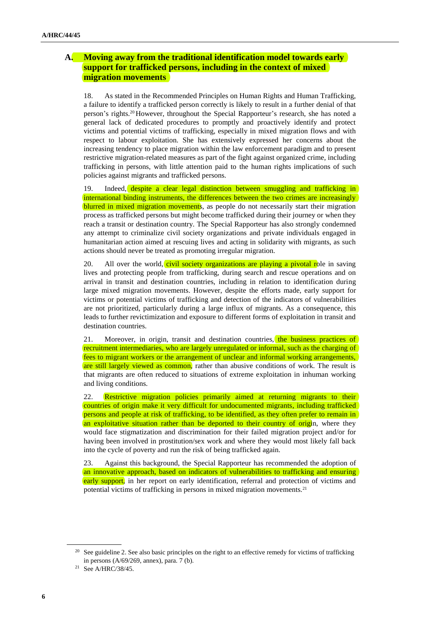### **A. Moving away from the traditional identification model towards early support for trafficked persons, including in the context of mixed migration movements**

18. As stated in the Recommended Principles on Human Rights and Human Trafficking, a failure to identify a trafficked person correctly is likely to result in a further denial of that person's rights.<sup>20</sup> However, throughout the Special Rapporteur's research, she has noted a general lack of dedicated procedures to promptly and proactively identify and protect victims and potential victims of trafficking, especially in mixed migration flows and with respect to labour exploitation. She has extensively expressed her concerns about the increasing tendency to place migration within the law enforcement paradigm and to present restrictive migration-related measures as part of the fight against organized crime, including trafficking in persons, with little attention paid to the human rights implications of such policies against migrants and trafficked persons.

19. Indeed, despite a clear legal distinction between smuggling and trafficking in international binding instruments, the differences between the two crimes are increasingly blurred in mixed migration movements, as people do not necessarily start their migration process as trafficked persons but might become trafficked during their journey or when they reach a transit or destination country. The Special Rapporteur has also strongly condemned any attempt to criminalize civil society organizations and private individuals engaged in humanitarian action aimed at rescuing lives and acting in solidarity with migrants, as such actions should never be treated as promoting irregular migration.

20. All over the world, civil society organizations are playing a pivotal role in saving lives and protecting people from trafficking, during search and rescue operations and on arrival in transit and destination countries, including in relation to identification during large mixed migration movements. However, despite the efforts made, early support for victims or potential victims of trafficking and detection of the indicators of vulnerabilities are not prioritized, particularly during a large influx of migrants. As a consequence, this leads to further revictimization and exposure to different forms of exploitation in transit and destination countries.

21. Moreover, in origin, transit and destination countries, the business practices of recruitment intermediaries, who are largely unregulated or informal, such as the charging of fees to migrant workers or the arrangement of unclear and informal working arrangements, are still largely viewed as common, rather than abusive conditions of work. The result is that migrants are often reduced to situations of extreme exploitation in inhuman working and living conditions.

22. Restrictive migration policies primarily aimed at returning migrants to their countries of origin make it very difficult for undocumented migrants, including trafficked persons and people at risk of trafficking, to be identified, as they often prefer to remain in an exploitative situation rather than be deported to their country of origin, where they would face stigmatization and discrimination for their failed migration project and/or for having been involved in prostitution/sex work and where they would most likely fall back into the cycle of poverty and run the risk of being trafficked again.

23. Against this background, the Special Rapporteur has recommended the adoption of an innovative approach, based on indicators of vulnerabilities to trafficking and ensuring early support, in her report on early identification, referral and protection of victims and potential victims of trafficking in persons in mixed migration movements.<sup>21</sup>

<sup>&</sup>lt;sup>20</sup> See guideline 2. See also basic principles on the right to an effective remedy for victims of trafficking in persons (A/69/269, annex), para. 7 (b).

<sup>21</sup> Se[e A/HRC/38/45.](https://ap.ohchr.org/documents/dpage_e.aspx?si=A/HRC/38/45)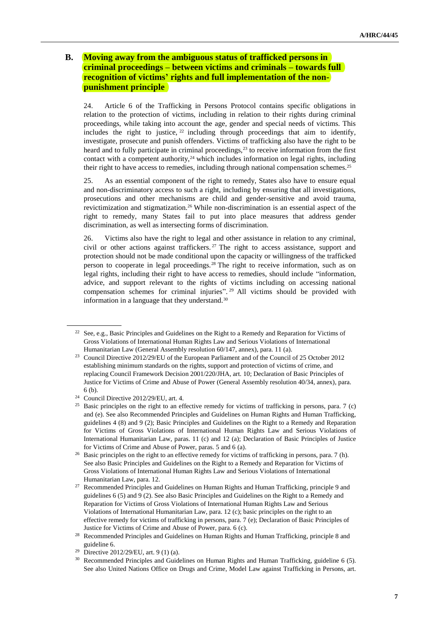### **B. Moving away from the ambiguous status of trafficked persons in criminal proceedings – between victims and criminals – towards full recognition of victims' rights and full implementation of the nonpunishment principle**

24. Article 6 of the Trafficking in Persons Protocol contains specific obligations in relation to the protection of victims, including in relation to their rights during criminal proceedings, while taking into account the age, gender and special needs of victims. This includes the right to justice,  $22$  including through proceedings that aim to identify, investigate, prosecute and punish offenders. Victims of trafficking also have the right to be heard and to fully participate in criminal proceedings,<sup>23</sup> to receive information from the first contact with a competent authority, $24$  which includes information on legal rights, including their right to have access to remedies, including through national compensation schemes.<sup>25</sup>

25. As an essential component of the right to remedy, States also have to ensure equal and non-discriminatory access to such a right, including by ensuring that all investigations, prosecutions and other mechanisms are child and gender-sensitive and avoid trauma, revictimization and stigmatization.<sup>26</sup> While non-discrimination is an essential aspect of the right to remedy, many States fail to put into place measures that address gender discrimination, as well as intersecting forms of discrimination.

26. Victims also have the right to legal and other assistance in relation to any criminal, civil or other actions against traffickers. <sup>27</sup> The right to access assistance, support and protection should not be made conditional upon the capacity or willingness of the trafficked person to cooperate in legal proceedings.<sup>28</sup> The right to receive information, such as on legal rights, including their right to have access to remedies, should include "information, advice, and support relevant to the rights of victims including on accessing national compensation schemes for criminal injuries". <sup>29</sup> All victims should be provided with information in a language that they understand.<sup>30</sup>

 $22$  See, e.g., Basic Principles and Guidelines on the Right to a Remedy and Reparation for Victims of Gross Violations of International Human Rights Law and Serious Violations of International Humanitarian Law (General Assembly resolution 60/147, annex), para. 11 (a).

<sup>&</sup>lt;sup>23</sup> Council Directive 2012/29/EU of the European Parliament and of the Council of 25 October 2012 establishing minimum standards on the rights, support and protection of victims of crime, and replacing Council Framework Decision 2001/220/JHA, art. 10; Declaration of Basic Principles of Justice for Victims of Crime and Abuse of Power (General Assembly resolution 40/34, annex), para. 6 (b).

<sup>24</sup> Council Directive 2012/29/EU, art. 4.

<sup>&</sup>lt;sup>25</sup> Basic principles on the right to an effective remedy for victims of trafficking in persons, para. 7 (c) and (e). See also Recommended Principles and Guidelines on Human Rights and Human Trafficking, guidelines 4 (8) and 9 (2); Basic Principles and Guidelines on the Right to a Remedy and Reparation for Victims of Gross Violations of International Human Rights Law and Serious Violations of International Humanitarian Law, paras. 11 (c) and 12 (a); Declaration of Basic Principles of Justice for Victims of Crime and Abuse of Power, paras. 5 and 6 (a).

<sup>&</sup>lt;sup>26</sup> Basic principles on the right to an effective remedy for victims of trafficking in persons, para. 7 (h). See also Basic Principles and Guidelines on the Right to a Remedy and Reparation for Victims of Gross Violations of International Human Rights Law and Serious Violations of International Humanitarian Law, para. 12.

<sup>27</sup> Recommended Principles and Guidelines on Human Rights and Human Trafficking, principle 9 and guidelines 6 (5) and 9 (2). See also Basic Principles and Guidelines on the Right to a Remedy and Reparation for Victims of Gross Violations of International Human Rights Law and Serious Violations of International Humanitarian Law, para. 12 (c); basic principles on the right to an effective remedy for victims of trafficking in persons, para. 7 (e); Declaration of Basic Principles of Justice for Victims of Crime and Abuse of Power, para. 6 (c).

<sup>&</sup>lt;sup>28</sup> Recommended Principles and Guidelines on Human Rights and Human Trafficking, principle 8 and guideline 6.

<sup>&</sup>lt;sup>29</sup> Directive 2012/29/EU, art. 9 (1) (a).

<sup>30</sup> Recommended Principles and Guidelines on Human Rights and Human Trafficking, guideline 6 (5). See also United Nations Office on Drugs and Crime, Model Law against Trafficking in Persons, art.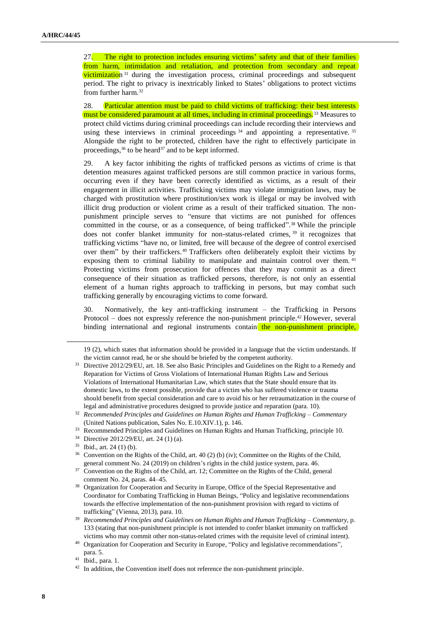27. The right to protection includes ensuring victims' safety and that of their families from harm, intimidation and retaliation, and protection from secondary and repeat victimization <sup>31</sup> during the investigation process, criminal proceedings and subsequent period. The right to privacy is inextricably linked to States' obligations to protect victims from further harm.<sup>32</sup>

28. Particular attention must be paid to child victims of trafficking: their best interests must be considered paramount at all times, including in criminal proceedings.<sup>33</sup> Measures to protect child victims during criminal proceedings can include recording their interviews and using these interviews in criminal proceedings<sup>34</sup> and appointing a representative.<sup>35</sup> Alongside the right to be protected, children have the right to effectively participate in proceedings,<sup>36</sup> to be heard<sup>37</sup> and to be kept informed.

29. A key factor inhibiting the rights of trafficked persons as victims of crime is that detention measures against trafficked persons are still common practice in various forms, occurring even if they have been correctly identified as victims, as a result of their engagement in illicit activities. Trafficking victims may violate immigration laws, may be charged with prostitution where prostitution/sex work is illegal or may be involved with illicit drug production or violent crime as a result of their trafficked situation. The nonpunishment principle serves to "ensure that victims are not punished for offences committed in the course, or as a consequence, of being trafficked". <sup>38</sup> While the principle does not confer blanket immunity for non-status-related crimes, <sup>39</sup> it recognizes that trafficking victims "have no, or limited, free will because of the degree of control exercised over them" by their traffickers. <sup>40</sup> Traffickers often deliberately exploit their victims by exposing them to criminal liability to manipulate and maintain control over them. <sup>41</sup> Protecting victims from prosecution for offences that they may commit as a direct consequence of their situation as trafficked persons, therefore, is not only an essential element of a human rights approach to trafficking in persons, but may combat such trafficking generally by encouraging victims to come forward.

30. Normatively, the key anti-trafficking instrument – the Trafficking in Persons Protocol – does not expressly reference the non-punishment principle.<sup>42</sup> However, several binding international and regional instruments contain the non-punishment principle,

<sup>34</sup> Directive 2012/29/EU, art. 24 (1) (a).

<sup>19</sup> (2), which states that information should be provided in a language that the victim understands. If the victim cannot read, he or she should be briefed by the competent authority.

<sup>&</sup>lt;sup>31</sup> Directive 2012/29/EU, art. 18. See also Basic Principles and Guidelines on the Right to a Remedy and Reparation for Victims of Gross Violations of International Human Rights Law and Serious Violations of International Humanitarian Law, which states that the State should ensure that its domestic laws, to the extent possible, provide that a victim who has suffered violence or trauma should benefit from special consideration and care to avoid his or her retraumatization in the course of legal and administrative procedures designed to provide justice and reparation (para. 10).

<sup>32</sup> *Recommended Principles and Guidelines on Human Rights and Human Trafficking – Commentary* (United Nations publication, Sales No. E.10.XIV.1), p. 146.

<sup>&</sup>lt;sup>33</sup> Recommended Principles and Guidelines on Human Rights and Human Trafficking, principle 10.

<sup>35</sup> Ibid., art. 24 (1) (b).

<sup>&</sup>lt;sup>36</sup> Convention on the Rights of the Child, art. 40 (2) (b) (iv); Committee on the Rights of the Child, general comment No. 24 (2019) on children's rights in the child justice system, para. 46.

<sup>&</sup>lt;sup>37</sup> Convention on the Rights of the Child, art. 12; Committee on the Rights of the Child, general comment No. 24, paras. 44–45.

<sup>&</sup>lt;sup>38</sup> Organization for Cooperation and Security in Europe, Office of the Special Representative and Coordinator for Combating Trafficking in Human Beings, "Policy and legislative recommendations towards the effective implementation of the non-punishment provision with regard to victims of trafficking" (Vienna, 2013), para. 10.

<sup>39</sup> *Recommended Principles and Guidelines on Human Rights and Human Trafficking – Commentary*, p. 133 (stating that non-punishment principle is not intended to confer blanket immunity on trafficked victims who may commit other non-status-related crimes with the requisite level of criminal intent).

<sup>&</sup>lt;sup>40</sup> Organization for Cooperation and Security in Europe, "Policy and legislative recommendations", para. 5.

<sup>41</sup> Ibid., para. 1.

 $42$  In addition, the Convention itself does not reference the non-punishment principle.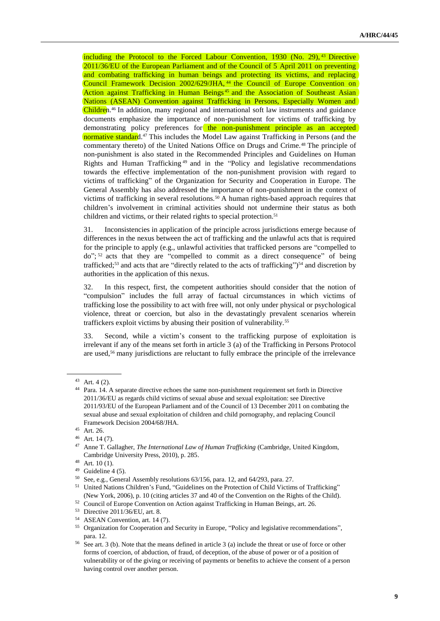including the Protocol to the Forced Labour Convention, 1930 (No. 29), <sup>43</sup> Directive 2011/36/EU of the European Parliament and of the Council of 5 April 2011 on preventing and combating trafficking in human beings and protecting its victims, and replacing Council Framework Decision 2002/629/JHA, <sup>44</sup> the Council of Europe Convention on Action against Trafficking in Human Beings <sup>45</sup> and the Association of Southeast Asian Nations (ASEAN) Convention against Trafficking in Persons, Especially Women and Children.<sup>46</sup> In addition, many regional and international soft law instruments and guidance documents emphasize the importance of non-punishment for victims of trafficking by demonstrating policy preferences for the non-punishment principle as an accepted normative standard.<sup>47</sup> This includes the Model Law against Trafficking in Persons (and the commentary thereto) of the United Nations Office on Drugs and Crime.<sup>48</sup> The principle of non-punishment is also stated in the Recommended Principles and Guidelines on Human Rights and Human Trafficking <sup>49</sup> and in the "Policy and legislative recommendations towards the effective implementation of the non-punishment provision with regard to victims of trafficking" of the Organization for Security and Cooperation in Europe. The General Assembly has also addressed the importance of non-punishment in the context of victims of trafficking in several resolutions.<sup>50</sup> A human rights-based approach requires that children's involvement in criminal activities should not undermine their status as both children and victims, or their related rights to special protection.<sup>51</sup>

31. Inconsistencies in application of the principle across jurisdictions emerge because of differences in the nexus between the act of trafficking and the unlawful acts that is required for the principle to apply (e.g., unlawful activities that trafficked persons are "compelled to do"; <sup>52</sup> acts that they are "compelled to commit as a direct consequence" of being trafficked;<sup>53</sup> and acts that are "directly related to the acts of trafficking")<sup>54</sup> and discretion by authorities in the application of this nexus.

32. In this respect, first, the competent authorities should consider that the notion of "compulsion" includes the full array of factual circumstances in which victims of trafficking lose the possibility to act with free will, not only under physical or psychological violence, threat or coercion, but also in the devastatingly prevalent scenarios wherein traffickers exploit victims by abusing their position of vulnerability.<sup>55</sup>

33. Second, while a victim's consent to the trafficking purpose of exploitation is irrelevant if any of the means set forth in article 3 (a) of the Trafficking in Persons Protocol are used,<sup>56</sup> many jurisdictions are reluctant to fully embrace the principle of the irrelevance

<sup>43</sup> Art. 4 (2).

<sup>44</sup> Para. 14. A separate directive echoes the same non-punishment requirement set forth in Directive 2011/36/EU as regards child victims of sexual abuse and sexual exploitation: see Directive 2011/93/EU of the European Parliament and of the Council of 13 December 2011 on combating the sexual abuse and sexual exploitation of children and child pornography, and replacing Council Framework Decision 2004/68/JHA.

<sup>45</sup> Art. 26.

 $^{46}$  Art. 14 (7).

<sup>47</sup> Anne T. Gallagher, *The International Law of Human Trafficking* (Cambridge, United Kingdom, Cambridge University Press, 2010), p. 285.

<sup>48</sup> Art. 10 (1).

 $49$  Guideline 4 (5).

<sup>50</sup> See, e.g., General Assembly resolutions 63/156, para. 12, and 64/293, para. 27.

<sup>&</sup>lt;sup>51</sup> United Nations Children's Fund, "Guidelines on the Protection of Child Victims of Trafficking" (New York, 2006), p. 10 (citing articles 37 and 40 of the Convention on the Rights of the Child).

<sup>52</sup> Council of Europe Convention on Action against Trafficking in Human Beings, art. 26.

<sup>53</sup> Directive 2011/36/EU, art. 8.

<sup>54</sup> ASEAN Convention, art. 14 (7).

<sup>&</sup>lt;sup>55</sup> Organization for Cooperation and Security in Europe, "Policy and legislative recommendations", para. 12.

<sup>&</sup>lt;sup>56</sup> See art. 3 (b). Note that the means defined in article 3 (a) include the threat or use of force or other forms of coercion, of abduction, of fraud, of deception, of the abuse of power or of a position of vulnerability or of the giving or receiving of payments or benefits to achieve the consent of a person having control over another person.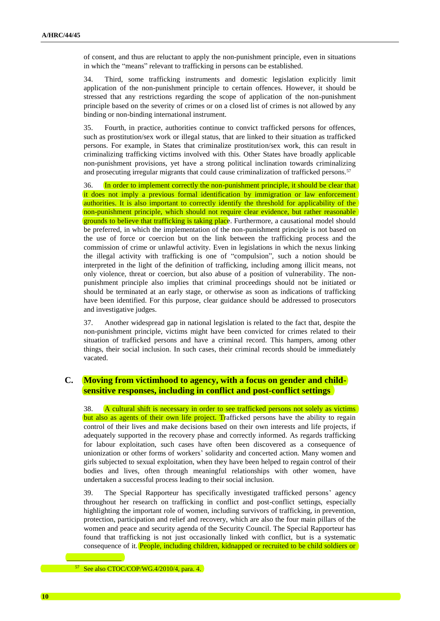of consent, and thus are reluctant to apply the non-punishment principle, even in situations in which the "means" relevant to trafficking in persons can be established.

34. Third, some trafficking instruments and domestic legislation explicitly limit application of the non-punishment principle to certain offences. However, it should be stressed that any restrictions regarding the scope of application of the non-punishment principle based on the severity of crimes or on a closed list of crimes is not allowed by any binding or non-binding international instrument.

35. Fourth, in practice, authorities continue to convict trafficked persons for offences, such as prostitution/sex work or illegal status, that are linked to their situation as trafficked persons. For example, in States that criminalize prostitution/sex work, this can result in criminalizing trafficking victims involved with this. Other States have broadly applicable non-punishment provisions, yet have a strong political inclination towards criminalizing and prosecuting irregular migrants that could cause criminalization of trafficked persons.<sup>57</sup>

36. In order to implement correctly the non-punishment principle, it should be clear that it does not imply a previous formal identification by immigration or law enforcement authorities. It is also important to correctly identify the threshold for applicability of the non-punishment principle, which should not require clear evidence, but rather reasonable grounds to believe that trafficking is taking place. Furthermore, a causational model should be preferred, in which the implementation of the non-punishment principle is not based on the use of force or coercion but on the link between the trafficking process and the commission of crime or unlawful activity. Even in legislations in which the nexus linking the illegal activity with trafficking is one of "compulsion", such a notion should be interpreted in the light of the definition of trafficking, including among illicit means, not only violence, threat or coercion, but also abuse of a position of vulnerability. The nonpunishment principle also implies that criminal proceedings should not be initiated or should be terminated at an early stage, or otherwise as soon as indications of trafficking have been identified. For this purpose, clear guidance should be addressed to prosecutors and investigative judges.

37. Another widespread gap in national legislation is related to the fact that, despite the non-punishment principle, victims might have been convicted for crimes related to their situation of trafficked persons and have a criminal record. This hampers, among other things, their social inclusion. In such cases, their criminal records should be immediately vacated.

#### **C. Moving from victimhood to agency, with a focus on gender and childsensitive responses, including in conflict and post-conflict settings**

38. A cultural shift is necessary in order to see trafficked persons not solely as victims but also as agents of their own life project. Trafficked persons have the ability to regain control of their lives and make decisions based on their own interests and life projects, if adequately supported in the recovery phase and correctly informed. As regards trafficking for labour exploitation, such cases have often been discovered as a consequence of unionization or other forms of workers' solidarity and concerted action. Many women and girls subjected to sexual exploitation, when they have been helped to regain control of their bodies and lives, often through meaningful relationships with other women, have undertaken a successful process leading to their social inclusion.

39. The Special Rapporteur has specifically investigated trafficked persons' agency throughout her research on trafficking in conflict and post-conflict settings, especially highlighting the important role of women, including survivors of trafficking, in prevention, protection, participation and relief and recovery, which are also the four main pillars of the women and peace and security agenda of the Security Council. The Special Rapporteur has found that trafficking is not just occasionally linked with conflict, but is a systematic consequence of it. People, including children, kidnapped or recruited to be child soldiers or

<sup>57</sup> See also CTOC/COP/WG.4/2010/4, para. 4.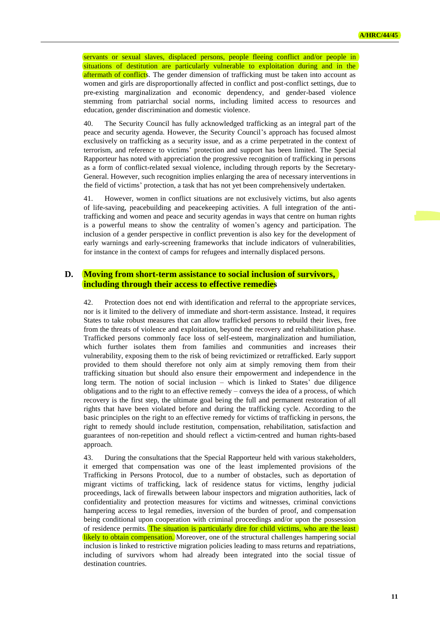servants or sexual slaves, displaced persons, people fleeing conflict and/or people in situations of destitution are particularly vulnerable to exploitation during and in the aftermath of conflicts. The gender dimension of trafficking must be taken into account as women and girls are disproportionally affected in conflict and post-conflict settings, due to pre-existing marginalization and economic dependency, and gender-based violence stemming from patriarchal social norms, including limited access to resources and education, gender discrimination and domestic violence.

40. The Security Council has fully acknowledged trafficking as an integral part of the peace and security agenda. However, the Security Council's approach has focused almost exclusively on trafficking as a security issue, and as a crime perpetrated in the context of terrorism, and reference to victims' protection and support has been limited. The Special Rapporteur has noted with appreciation the progressive recognition of trafficking in persons as a form of conflict-related sexual violence, including through reports by the Secretary-General. However, such recognition implies enlarging the area of necessary interventions in the field of victims' protection, a task that has not yet been comprehensively undertaken.

41. However, women in conflict situations are not exclusively victims, but also agents of life-saving, peacebuilding and peacekeeping activities. A full integration of the antitrafficking and women and peace and security agendas in ways that centre on human rights is a powerful means to show the centrality of women's agency and participation. The inclusion of a gender perspective in conflict prevention is also key for the development of early warnings and early-screening frameworks that include indicators of vulnerabilities, for instance in the context of camps for refugees and internally displaced persons.

#### **D. Moving from short-term assistance to social inclusion of survivors, including through their access to effective remedies**

42. Protection does not end with identification and referral to the appropriate services, nor is it limited to the delivery of immediate and short-term assistance. Instead, it requires States to take robust measures that can allow trafficked persons to rebuild their lives, free from the threats of violence and exploitation, beyond the recovery and rehabilitation phase. Trafficked persons commonly face loss of self-esteem, marginalization and humiliation, which further isolates them from families and communities and increases their vulnerability, exposing them to the risk of being revictimized or retrafficked. Early support provided to them should therefore not only aim at simply removing them from their trafficking situation but should also ensure their empowerment and independence in the long term. The notion of social inclusion – which is linked to States' due diligence obligations and to the right to an effective remedy – conveys the idea of a process, of which recovery is the first step, the ultimate goal being the full and permanent restoration of all rights that have been violated before and during the trafficking cycle. According to the basic principles on the right to an effective remedy for victims of trafficking in persons, the right to remedy should include restitution, compensation, rehabilitation, satisfaction and guarantees of non-repetition and should reflect a victim-centred and human rights-based approach.

43. During the consultations that the Special Rapporteur held with various stakeholders, it emerged that compensation was one of the least implemented provisions of the Trafficking in Persons Protocol, due to a number of obstacles, such as deportation of migrant victims of trafficking, lack of residence status for victims, lengthy judicial proceedings, lack of firewalls between labour inspectors and migration authorities, lack of confidentiality and protection measures for victims and witnesses, criminal convictions hampering access to legal remedies, inversion of the burden of proof, and compensation being conditional upon cooperation with criminal proceedings and/or upon the possession of residence permits. The situation is particularly dire for child victims, who are the least likely to obtain compensation. Moreover, one of the structural challenges hampering social inclusion is linked to restrictive migration policies leading to mass returns and repatriations, including of survivors whom had already been integrated into the social tissue of destination countries.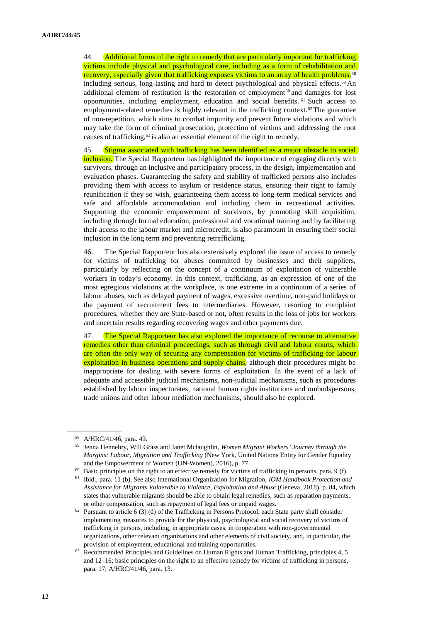44. Additional forms of the right to remedy that are particularly important for trafficking victims include physical and psychological care, including as a form of rehabilitation and recovery, especially given that trafficking exposes victims to an array of health problems,<sup>58</sup> including serious, long-lasting and hard to detect psychological and physical effects. <sup>59</sup> An additional element of restitution is the restoration of employment<sup>60</sup> and damages for lost opportunities, including employment, education and social benefits. <sup>61</sup> Such access to employment-related remedies is highly relevant in the trafficking context.<sup>62</sup> The guarantee of non-repetition, which aims to combat impunity and prevent future violations and which may take the form of criminal prosecution, protection of victims and addressing the root causes of trafficking,<sup>63</sup> is also an essential element of the right to remedy.

45. Stigma associated with trafficking has been identified as a major obstacle to social inclusion. The Special Rapporteur has highlighted the importance of engaging directly with survivors, through an inclusive and participatory process, in the design, implementation and evaluation phases. Guaranteeing the safety and stability of trafficked persons also includes providing them with access to asylum or residence status, ensuring their right to family reunification if they so wish, guaranteeing them access to long-term medical services and safe and affordable accommodation and including them in recreational activities. Supporting the economic empowerment of survivors, by promoting skill acquisition, including through formal education, professional and vocational training and by facilitating their access to the labour market and microcredit, is also paramount in ensuring their social inclusion in the long term and preventing retrafficking.

46. The Special Rapporteur has also extensively explored the issue of access to remedy for victims of trafficking for abuses committed by businesses and their suppliers, particularly by reflecting on the concept of a continuum of exploitation of vulnerable workers in today's economy. In this context, trafficking, as an expression of one of the most egregious violations at the workplace, is one extreme in a continuum of a series of labour abuses, such as delayed payment of wages, excessive overtime, non-paid holidays or the payment of recruitment fees to intermediaries. However, resorting to complaint procedures, whether they are State-based or not, often results in the loss of jobs for workers and uncertain results regarding recovering wages and other payments due.

47. The Special Rapporteur has also explored the importance of recourse to alternative remedies other than criminal proceedings, such as through civil and labour courts, which are often the only way of securing any compensation for victims of trafficking for labour exploitation in business operations and supply chains, although their procedures might be inappropriate for dealing with severe forms of exploitation. In the event of a lack of adequate and accessible judicial mechanisms, non-judicial mechanisms, such as procedures established by labour inspectorates, national human rights institutions and ombudspersons, trade unions and other labour mediation mechanisms, should also be explored.

<sup>58</sup> A/HRC/41/46, para. 43.

<sup>59</sup> Jenna Hennebry, Will Grass and Janet Mclaughlin, *Women Migrant Workers' Journey through the Margins: Labour, Migration and Trafficking* (New York, United Nations Entity for Gender Equality and the Empowerment of Women (UN-Women), 2016), p. 77.

<sup>&</sup>lt;sup>60</sup> Basic principles on the right to an effective remedy for victims of trafficking in persons, para. 9 (f).

<sup>61</sup> Ibid., para. 11 (b). See also International Organization for Migration, *IOM Handbook Protection and Assistance for Migrants Vulnerable to Violence, Exploitation and Abuse* (Geneva, 2018), p. 84, which states that vulnerable migrants should be able to obtain legal remedies, such as reparation payments, or other compensation, such as repayment of legal fees or unpaid wages.

 $62$  Pursuant to article 6 (3) (d) of the Trafficking in Persons Protocol, each State party shall consider implementing measures to provide for the physical, psychological and social recovery of victims of trafficking in persons, including, in appropriate cases, in cooperation with non-governmental organizations, other relevant organizations and other elements of civil society, and, in particular, the provision of employment, educational and training opportunities.

<sup>&</sup>lt;sup>63</sup> Recommended Principles and Guidelines on Human Rights and Human Trafficking, principles 4, 5 and 12–16; basic principles on the right to an effective remedy for victims of trafficking in persons, para. 17; A/HRC/41/46, para. 13.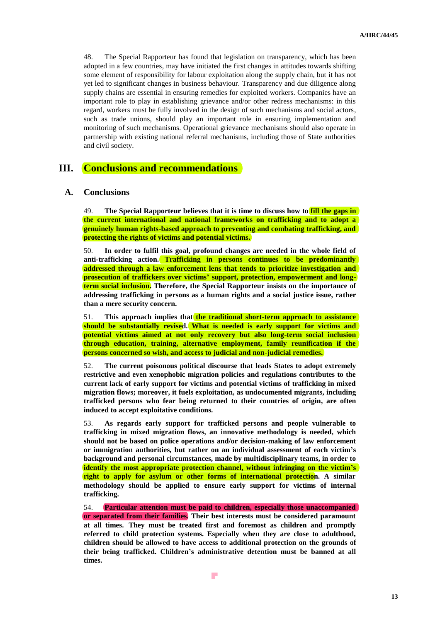48. The Special Rapporteur has found that legislation on transparency, which has been adopted in a few countries, may have initiated the first changes in attitudes towards shifting some element of responsibility for labour exploitation along the supply chain, but it has not yet led to significant changes in business behaviour. Transparency and due diligence along supply chains are essential in ensuring remedies for exploited workers. Companies have an important role to play in establishing grievance and/or other redress mechanisms: in this regard, workers must be fully involved in the design of such mechanisms and social actors, such as trade unions, should play an important role in ensuring implementation and monitoring of such mechanisms. Operational grievance mechanisms should also operate in partnership with existing national referral mechanisms, including those of State authorities and civil society.

# **III. Conclusions and recommendations**

#### **A. Conclusions**

49. **The Special Rapporteur believes that it is time to discuss how to fill the gaps in the current international and national frameworks on trafficking and to adopt a genuinely human rights-based approach to preventing and combating trafficking, and protecting the rights of victims and potential victims.**

50. **In order to fulfil this goal, profound changes are needed in the whole field of anti-trafficking action. Trafficking in persons continues to be predominantly addressed through a law enforcement lens that tends to prioritize investigation and prosecution of traffickers over victims' support, protection, empowerment and longterm social inclusion. Therefore, the Special Rapporteur insists on the importance of addressing trafficking in persons as a human rights and a social justice issue, rather than a mere security concern.**

51. **This approach implies that the traditional short-term approach to assistance should be substantially revised. What is needed is early support for victims and potential victims aimed at not only recovery but also long-term social inclusion through education, training, alternative employment, family reunification if the persons concerned so wish, and access to judicial and non-judicial remedies.**

52. **The current poisonous political discourse that leads States to adopt extremely restrictive and even xenophobic migration policies and regulations contributes to the current lack of early support for victims and potential victims of trafficking in mixed migration flows; moreover, it fuels exploitation, as undocumented migrants, including trafficked persons who fear being returned to their countries of origin, are often induced to accept exploitative conditions.**

53. **As regards early support for trafficked persons and people vulnerable to trafficking in mixed migration flows, an innovative methodology is needed, which should not be based on police operations and/or decision-making of law enforcement or immigration authorities, but rather on an individual assessment of each victim's background and personal circumstances, made by multidisciplinary teams, in order to identify the most appropriate protection channel, without infringing on the victim's right to apply for asylum or other forms of international protection. A similar methodology should be applied to ensure early support for victims of internal trafficking.**

54. **Particular attention must be paid to children, especially those unaccompanied or separated from their families. Their best interests must be considered paramount at all times. They must be treated first and foremost as children and promptly referred to child protection systems. Especially when they are close to adulthood, children should be allowed to have access to additional protection on the grounds of their being trafficked. Children's administrative detention must be banned at all times.**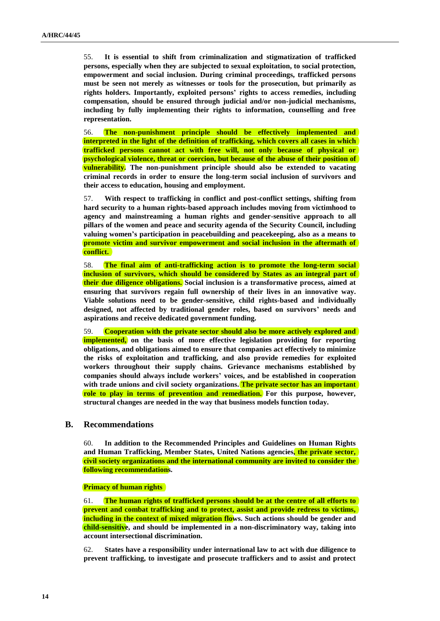55. **It is essential to shift from criminalization and stigmatization of trafficked persons, especially when they are subjected to sexual exploitation, to social protection, empowerment and social inclusion. During criminal proceedings, trafficked persons must be seen not merely as witnesses or tools for the prosecution, but primarily as rights holders. Importantly, exploited persons' rights to access remedies, including compensation, should be ensured through judicial and/or non-judicial mechanisms, including by fully implementing their rights to information, counselling and free representation.**

56. **The non-punishment principle should be effectively implemented and interpreted in the light of the definition of trafficking, which covers all cases in which trafficked persons cannot act with free will, not only because of physical or psychological violence, threat or coercion, but because of the abuse of their position of vulnerability. The non-punishment principle should also be extended to vacating criminal records in order to ensure the long-term social inclusion of survivors and their access to education, housing and employment.**

57. **With respect to trafficking in conflict and post-conflict settings, shifting from hard security to a human rights-based approach includes moving from victimhood to agency and mainstreaming a human rights and gender-sensitive approach to all pillars of the women and peace and security agenda of the Security Council, including valuing women's participation in peacebuilding and peacekeeping, also as a means to promote victim and survivor empowerment and social inclusion in the aftermath of conflict.**

58. **The final aim of anti-trafficking action is to promote the long-term social inclusion of survivors, which should be considered by States as an integral part of their due diligence obligations. Social inclusion is a transformative process, aimed at ensuring that survivors regain full ownership of their lives in an innovative way. Viable solutions need to be gender-sensitive, child rights-based and individually designed, not affected by traditional gender roles, based on survivors' needs and aspirations and receive dedicated government funding.**

59. **Cooperation with the private sector should also be more actively explored and implemented, on the basis of more effective legislation providing for reporting obligations, and obligations aimed to ensure that companies act effectively to minimize the risks of exploitation and trafficking, and also provide remedies for exploited workers throughout their supply chains. Grievance mechanisms established by companies should always include workers' voices, and be established in cooperation with trade unions and civil society organizations. The private sector has an important role to play in terms of prevention and remediation. For this purpose, however, structural changes are needed in the way that business models function today.**

#### **B. Recommendations**

60. **In addition to the Recommended Principles and Guidelines on Human Rights and Human Trafficking, Member States, United Nations agencies, the private sector, civil society organizations and the international community are invited to consider the following recommendations.**

**Primacy of human rights**

61. **The human rights of trafficked persons should be at the centre of all efforts to prevent and combat trafficking and to protect, assist and provide redress to victims, including in the context of mixed migration flows. Such actions should be gender and child-sensitive, and should be implemented in a non-discriminatory way, taking into account intersectional discrimination.**

62. **States have a responsibility under international law to act with due diligence to prevent trafficking, to investigate and prosecute traffickers and to assist and protect**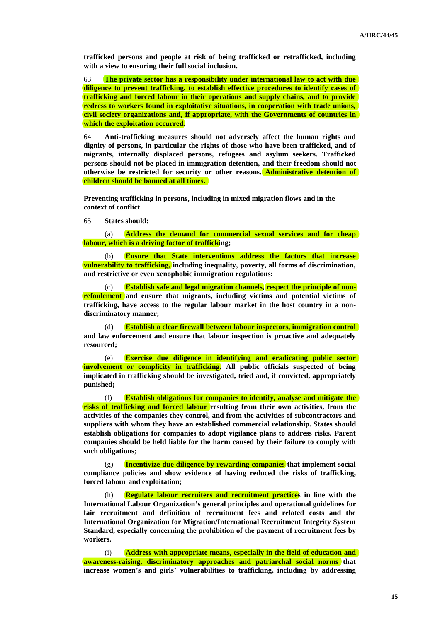**trafficked persons and people at risk of being trafficked or retrafficked, including with a view to ensuring their full social inclusion.**

63. **The private sector has a responsibility under international law to act with due diligence to prevent trafficking, to establish effective procedures to identify cases of trafficking and forced labour in their operations and supply chains, and to provide redress to workers found in exploitative situations, in cooperation with trade unions, civil society organizations and, if appropriate, with the Governments of countries in which the exploitation occurred.**

64. **Anti-trafficking measures should not adversely affect the human rights and dignity of persons, in particular the rights of those who have been trafficked, and of migrants, internally displaced persons, refugees and asylum seekers. Trafficked persons should not be placed in immigration detention, and their freedom should not otherwise be restricted for security or other reasons. Administrative detention of children should be banned at all times.**

**Preventing trafficking in persons, including in mixed migration flows and in the context of conflict**

65. **States should:**

(a) **Address the demand for commercial sexual services and for cheap labour, which is a driving factor of trafficking;**

(b) **Ensure that State interventions address the factors that increase vulnerability to trafficking, including inequality, poverty, all forms of discrimination, and restrictive or even xenophobic immigration regulations;**

Establish safe and legal migration channels, respect the principle of non**refoulement and ensure that migrants, including victims and potential victims of trafficking, have access to the regular labour market in the host country in a nondiscriminatory manner;**

(d) **Establish a clear firewall between labour inspectors, immigration control and law enforcement and ensure that labour inspection is proactive and adequately resourced;**

(e) **Exercise due diligence in identifying and eradicating public sector involvement or complicity in trafficking. All public officials suspected of being implicated in trafficking should be investigated, tried and, if convicted, appropriately punished;**

(f) **Establish obligations for companies to identify, analyse and mitigate the risks of trafficking and forced labour resulting from their own activities, from the activities of the companies they control, and from the activities of subcontractors and suppliers with whom they have an established commercial relationship. States should establish obligations for companies to adopt vigilance plans to address risks. Parent companies should be held liable for the harm caused by their failure to comply with such obligations;**

(g) **Incentivize due diligence by rewarding companies that implement social compliance policies and show evidence of having reduced the risks of trafficking, forced labour and exploitation;**

(h) **Regulate labour recruiters and recruitment practices in line with the International Labour Organization's general principles and operational guidelines for fair recruitment and definition of recruitment fees and related costs and the International Organization for Migration/International Recruitment Integrity System Standard, especially concerning the prohibition of the payment of recruitment fees by workers.**

(i) **Address with appropriate means, especially in the field of education and awareness-raising, discriminatory approaches and patriarchal social norms that increase women's and girls' vulnerabilities to trafficking, including by addressing**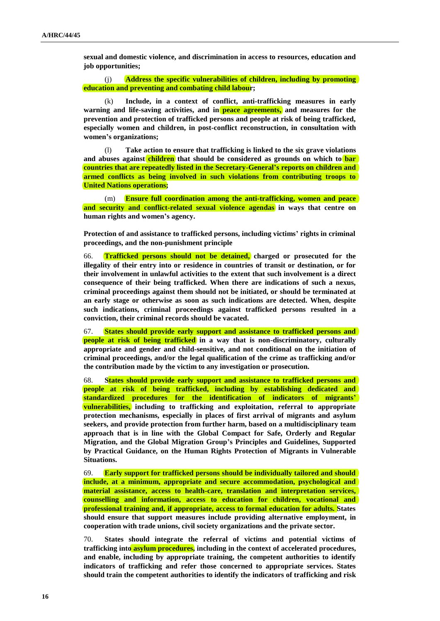**sexual and domestic violence, and discrimination in access to resources, education and job opportunities;**

(j) **Address the specific vulnerabilities of children, including by promoting education and preventing and combating child labour;**

(k) **Include, in a context of conflict, anti-trafficking measures in early warning and life-saving activities, and in peace agreements, and measures for the prevention and protection of trafficked persons and people at risk of being trafficked, especially women and children, in post-conflict reconstruction, in consultation with women's organizations;**

(l) **Take action to ensure that trafficking is linked to the six grave violations and abuses against children that should be considered as grounds on which to bar countries that are repeatedly listed in the Secretary-General's reports on children and armed conflicts as being involved in such violations from contributing troops to United Nations operations;**

(m) **Ensure full coordination among the anti-trafficking, women and peace and security and conflict-related sexual violence agendas in ways that centre on human rights and women's agency.**

**Protection of and assistance to trafficked persons, including victims' rights in criminal proceedings, and the non-punishment principle**

66. **Trafficked persons should not be detained, charged or prosecuted for the illegality of their entry into or residence in countries of transit or destination, or for their involvement in unlawful activities to the extent that such involvement is a direct consequence of their being trafficked. When there are indications of such a nexus, criminal proceedings against them should not be initiated, or should be terminated at an early stage or otherwise as soon as such indications are detected. When, despite such indications, criminal proceedings against trafficked persons resulted in a conviction, their criminal records should be vacated.**

67. **States should provide early support and assistance to trafficked persons and people at risk of being trafficked in a way that is non-discriminatory, culturally appropriate and gender and child-sensitive, and not conditional on the initiation of criminal proceedings, and/or the legal qualification of the crime as trafficking and/or the contribution made by the victim to any investigation or prosecution.**

68. **States should provide early support and assistance to trafficked persons and people at risk of being trafficked, including by establishing dedicated and standardized procedures for the identification of indicators of migrants' vulnerabilities, including to trafficking and exploitation, referral to appropriate protection mechanisms, especially in places of first arrival of migrants and asylum seekers, and provide protection from further harm, based on a multidisciplinary team approach that is in line with the Global Compact for Safe, Orderly and Regular Migration, and the Global Migration Group's Principles and Guidelines, Supported by Practical Guidance, on the Human Rights Protection of Migrants in Vulnerable Situations.**

69. **Early support for trafficked persons should be individually tailored and should include, at a minimum, appropriate and secure accommodation, psychological and material assistance, access to health-care, translation and interpretation services, counselling and information, access to education for children, vocational and professional training and, if appropriate, access to formal education for adults. States should ensure that support measures include providing alternative employment, in cooperation with trade unions, civil society organizations and the private sector.**

70. **States should integrate the referral of victims and potential victims of trafficking into asylum procedures, including in the context of accelerated procedures, and enable, including by appropriate training, the competent authorities to identify indicators of trafficking and refer those concerned to appropriate services. States should train the competent authorities to identify the indicators of trafficking and risk**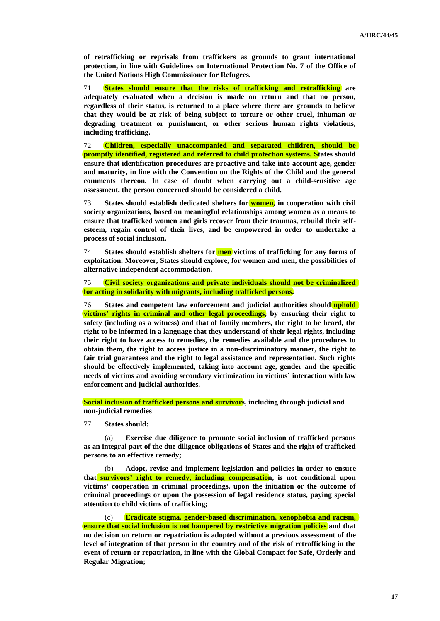**of retrafficking or reprisals from traffickers as grounds to grant international protection, in line with Guidelines on International Protection No. 7 of the Office of the United Nations High Commissioner for Refugees.**

71. **States should ensure that the risks of trafficking and retrafficking are adequately evaluated when a decision is made on return and that no person, regardless of their status, is returned to a place where there are grounds to believe that they would be at risk of being subject to torture or other cruel, inhuman or degrading treatment or punishment, or other serious human rights violations, including trafficking.**

72. **Children, especially unaccompanied and separated children, should be promptly identified, registered and referred to child protection systems. States should ensure that identification procedures are proactive and take into account age, gender and maturity, in line with the Convention on the Rights of the Child and the general comments thereon. In case of doubt when carrying out a child-sensitive age assessment, the person concerned should be considered a child.**

73. **States should establish dedicated shelters for women, in cooperation with civil society organizations, based on meaningful relationships among women as a means to ensure that trafficked women and girls recover from their traumas, rebuild their selfesteem, regain control of their lives, and be empowered in order to undertake a process of social inclusion.**

74. **States should establish shelters for men victims of trafficking for any forms of exploitation. Moreover, States should explore, for women and men, the possibilities of alternative independent accommodation.**

75. **Civil society organizations and private individuals should not be criminalized for acting in solidarity with migrants, including trafficked persons.**

76. **States and competent law enforcement and judicial authorities should uphold victims' rights in criminal and other legal proceedings, by ensuring their right to safety (including as a witness) and that of family members, the right to be heard, the right to be informed in a language that they understand of their legal rights, including their right to have access to remedies, the remedies available and the procedures to obtain them, the right to access justice in a non-discriminatory manner, the right to fair trial guarantees and the right to legal assistance and representation. Such rights should be effectively implemented, taking into account age, gender and the specific needs of victims and avoiding secondary victimization in victims' interaction with law enforcement and judicial authorities.**

**Social inclusion of trafficked persons and survivors, including through judicial and non-judicial remedies**

77. **States should:**

(a) **Exercise due diligence to promote social inclusion of trafficked persons as an integral part of the due diligence obligations of States and the right of trafficked persons to an effective remedy;**

(b) **Adopt, revise and implement legislation and policies in order to ensure that survivors' right to remedy, including compensation, is not conditional upon victims' cooperation in criminal proceedings, upon the initiation or the outcome of criminal proceedings or upon the possession of legal residence status, paying special attention to child victims of trafficking;**

(c) **Eradicate stigma, gender-based discrimination, xenophobia and racism, ensure that social inclusion is not hampered by restrictive migration policies and that no decision on return or repatriation is adopted without a previous assessment of the level of integration of that person in the country and of the risk of retrafficking in the event of return or repatriation, in line with the Global Compact for Safe, Orderly and Regular Migration;**